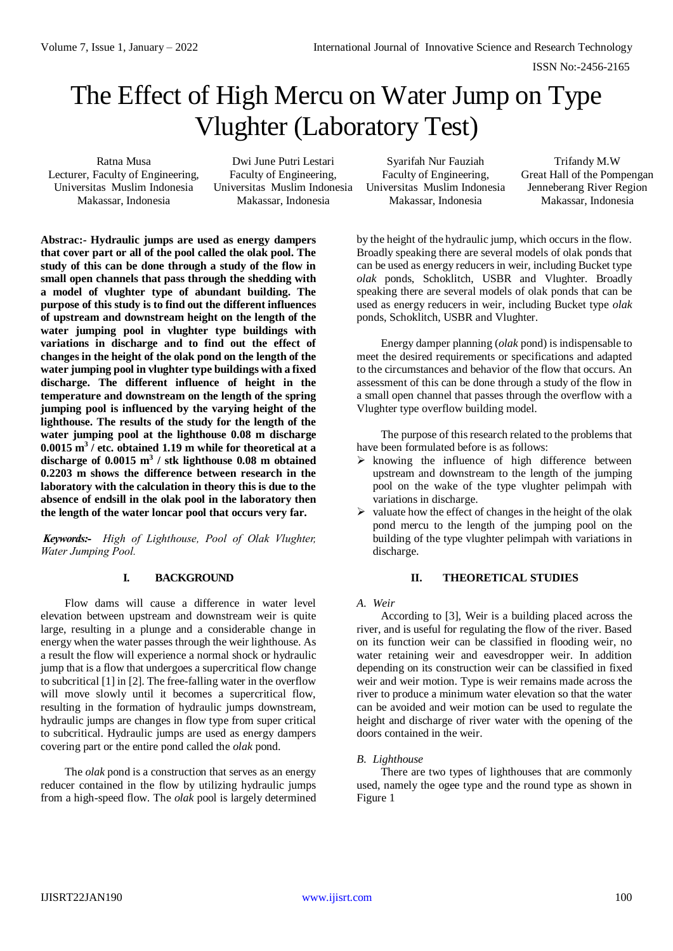ISSN No:-2456-2165

# The Effect of High Mercu on Water Jump on Type Vlughter (Laboratory Test)

Lecturer, Faculty of Engineering, Faculty of Engineering, Faculty of Engineering, Great Hall of the Pompengan Universitas Muslim Indonesia Universitas Muslim Indonesia Universitas Muslim Indonesia Jenneberang River Region

Ratna Musa Dwi June Putri Lestari Syarifah Nur Fauziah Trifandy M.W Makassar, Indonesia Makassar, Indonesia Makassar, Indonesia Makassar, Indonesia

**Abstrac:- Hydraulic jumps are used as energy dampers that cover part or all of the pool called the olak pool. The study of this can be done through a study of the flow in small open channels that pass through the shedding with a model of vlughter type of abundant building. The purpose of this study is to find out the different influences of upstream and downstream height on the length of the water jumping pool in vlughter type buildings with variations in discharge and to find out the effect of changes in the height of the olak pond on the length of the water jumping pool in vlughter type buildings with a fixed discharge. The different influence of height in the temperature and downstream on the length of the spring jumping pool is influenced by the varying height of the lighthouse. The results of the study for the length of the water jumping pool at the lighthouse 0.08 m discharge 0.0015 m<sup>3</sup> / etc. obtained 1.19 m while for theoretical at a discharge of 0.0015 m<sup>3</sup> / stk lighthouse 0.08 m obtained 0.2203 m shows the difference between research in the laboratory with the calculation in theory this is due to the absence of endsill in the olak pool in the laboratory then the length of the water loncar pool that occurs very far.**

*Keywords:- High of Lighthouse, Pool of Olak Vlughter, Water Jumping Pool.*

# **I. BACKGROUND**

Flow dams will cause a difference in water level elevation between upstream and downstream weir is quite large, resulting in a plunge and a considerable change in energy when the water passes through the weir lighthouse. As a result the flow will experience a normal shock or hydraulic jump that is a flow that undergoes a supercritical flow change to subcritical [1] in [2]. The free-falling water in the overflow will move slowly until it becomes a supercritical flow, resulting in the formation of hydraulic jumps downstream, hydraulic jumps are changes in flow type from super critical to subcritical. Hydraulic jumps are used as energy dampers covering part or the entire pond called the *olak* pond.

The *olak* pond is a construction that serves as an energy reducer contained in the flow by utilizing hydraulic jumps from a high-speed flow. The *olak* pool is largely determined by the height of the hydraulic jump, which occurs in the flow. Broadly speaking there are several models of olak ponds that can be used as energy reducers in weir, including Bucket type *olak* ponds, Schoklitch, USBR and Vlughter. Broadly speaking there are several models of olak ponds that can be used as energy reducers in weir, including Bucket type *olak* ponds, Schoklitch, USBR and Vlughter.

Energy damper planning (*olak* pond) is indispensable to meet the desired requirements or specifications and adapted to the circumstances and behavior of the flow that occurs. An assessment of this can be done through a study of the flow in a small open channel that passes through the overflow with a Vlughter type overflow building model.

The purpose of this research related to the problems that have been formulated before is as follows:

- $\triangleright$  knowing the influence of high difference between upstream and downstream to the length of the jumping pool on the wake of the type vlughter pelimpah with variations in discharge.
- $\triangleright$  valuate how the effect of changes in the height of the olak pond mercu to the length of the jumping pool on the building of the type vlughter pelimpah with variations in discharge.

# **II. THEORETICAL STUDIES**

### *A. Weir*

According to [3], Weir is a building placed across the river, and is useful for regulating the flow of the river. Based on its function weir can be classified in flooding weir, no water retaining weir and eavesdropper weir. In addition depending on its construction weir can be classified in fixed weir and weir motion. Type is weir remains made across the river to produce a minimum water elevation so that the water can be avoided and weir motion can be used to regulate the height and discharge of river water with the opening of the doors contained in the weir.

# *B. Lighthouse*

There are two types of lighthouses that are commonly used, namely the ogee type and the round type as shown in Figure 1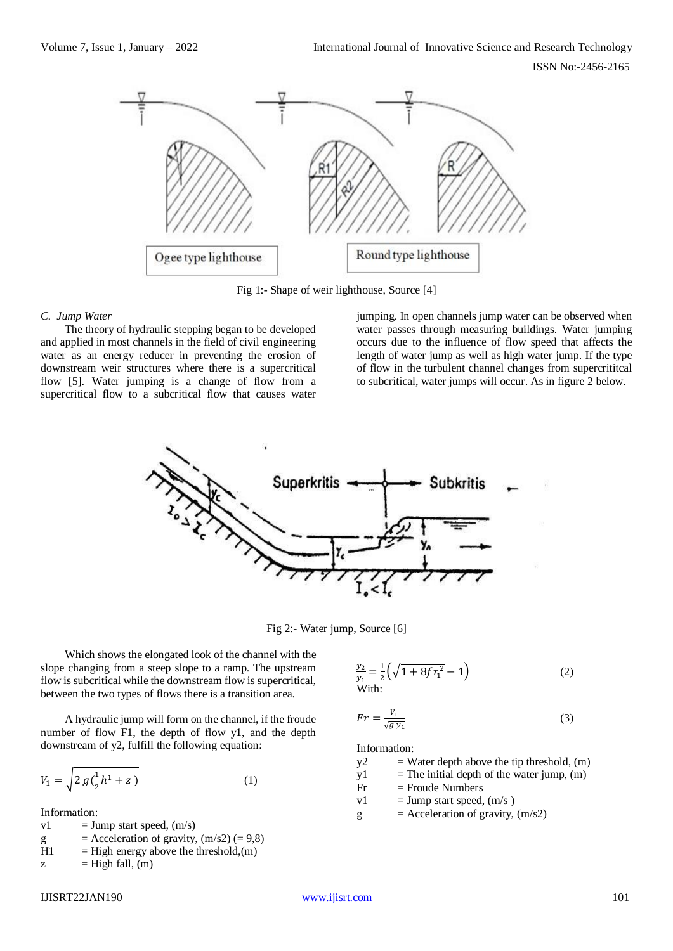ISSN No:-2456-2165



Fig 1:- Shape of weir lighthouse, Source [4]

#### *C. Jump Water*

The theory of hydraulic stepping began to be developed and applied in most channels in the field of civil engineering water as an energy reducer in preventing the erosion of downstream weir structures where there is a supercritical flow [5]. Water jumping is a change of flow from a supercritical flow to a subcritical flow that causes water

jumping. In open channels jump water can be observed when water passes through measuring buildings. Water jumping occurs due to the influence of flow speed that affects the length of water jump as well as high water jump. If the type of flow in the turbulent channel changes from supercrititcal to subcritical, water jumps will occur. As in figure 2 below.



Fig 2:- Water jump, Source [6]

Which shows the elongated look of the channel with the slope changing from a steep slope to a ramp. The upstream flow is subcritical while the downstream flow is supercritical, between the two types of flows there is a transition area.

A hydraulic jump will form on the channel, if the froude number of flow F1, the depth of flow y1, and the depth downstream of y2, fulfill the following equation:

$$
V_1 = \sqrt{2 g(\frac{1}{2}h^1 + z)}
$$
 (1)

Information:

 $v1 = Jump$  start speed,  $(m/s)$ g  $=$  Acceleration of gravity,  $(m/s2) (= 9,8)$  $H1$  = High energy above the threshold, (m)  $z = High fall, (m)$ 

$$
\frac{y_2}{y_1} = \frac{1}{2} \left( \sqrt{1 + 8fr_1^2} - 1 \right)
$$
\nWith:

\n(2)

$$
Fr = \frac{V_1}{\sqrt{g \, y_1}}\tag{3}
$$

Information:<br> $y2 = W$ 

 $=$  Water depth above the tip threshold,  $(m)$ 

 $y1$  = The initial depth of the water jump, (m)

 $Fr = Froude Numbers$ 

 $v1 = Jump$  start speed,  $(m/s)$ 

 $g =$  Acceleration of gravity,  $(m/s2)$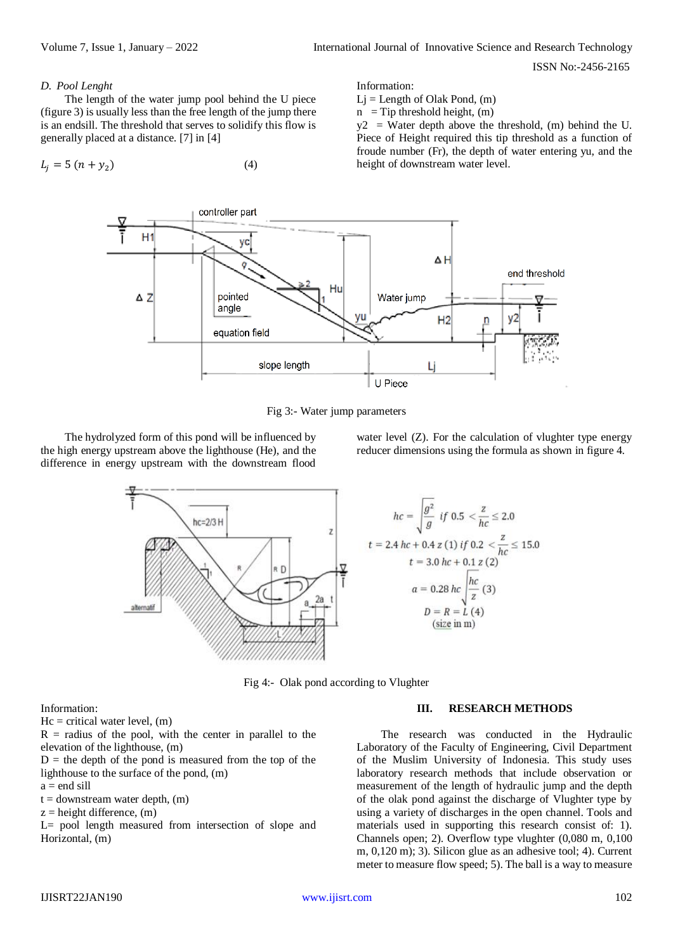ISSN No:-2456-2165

#### *D. Pool Lenght*

The length of the water jump pool behind the U piece (figure 3) is usually less than the free length of the jump there is an endsill. The threshold that serves to solidify this flow is generally placed at a distance. [7] in [4]

$$
L_j = 5 (n + y_2) \tag{4}
$$

Information:

 $Lj = Length of Olak Pond, (m)$ 

 $n =$ Tip threshold height, (m)

 $y2 = Water$  depth above the threshold, (m) behind the U. Piece of Height required this tip threshold as a function of froude number (Fr), the depth of water entering yu, and the height of downstream water level.



Fig 3:- Water jump parameters

The hydrolyzed form of this pond will be influenced by the high energy upstream above the lighthouse (He), and the difference in energy upstream with the downstream flood

water level (Z). For the calculation of vlughter type energy reducer dimensions using the formula as shown in figure 4.





Fig 4:- Olak pond according to Vlughter

Information:

 $Hc = critical water level, (m)$ 

 $R =$  radius of the pool, with the center in parallel to the elevation of the lighthouse, (m)

 $D =$  the depth of the pond is measured from the top of the lighthouse to the surface of the pond, (m)

 $a = end$  sill

 $t =$  downstream water depth,  $(m)$ 

 $z =$  height difference,  $(m)$ 

L= pool length measured from intersection of slope and Horizontal, (m)

#### **III. RESEARCH METHODS**

The research was conducted in the Hydraulic Laboratory of the Faculty of Engineering, Civil Department of the Muslim University of Indonesia. This study uses laboratory research methods that include observation or measurement of the length of hydraulic jump and the depth of the olak pond against the discharge of Vlughter type by using a variety of discharges in the open channel. Tools and materials used in supporting this research consist of: 1). Channels open; 2). Overflow type vlughter (0,080 m, 0,100 m, 0,120 m); 3). Silicon glue as an adhesive tool; 4). Current meter to measure flow speed; 5). The ball is a way to measure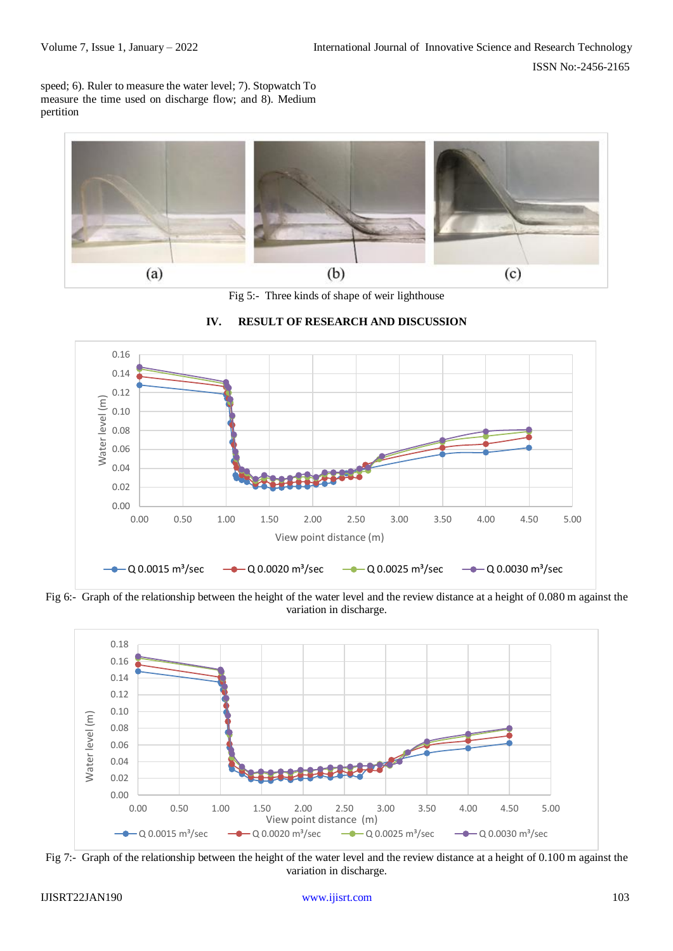speed; 6). Ruler to measure the water level; 7). Stopwatch To measure the time used on discharge flow; and 8). Medium pertition



Fig 5:- Three kinds of shape of weir lighthouse



**IV. RESULT OF RESEARCH AND DISCUSSION**

Fig 6:- Graph of the relationship between the height of the water level and the review distance at a height of 0.080 m against the variation in discharge.



Fig 7:- Graph of the relationship between the height of the water level and the review distance at a height of 0.100 m against the variation in discharge.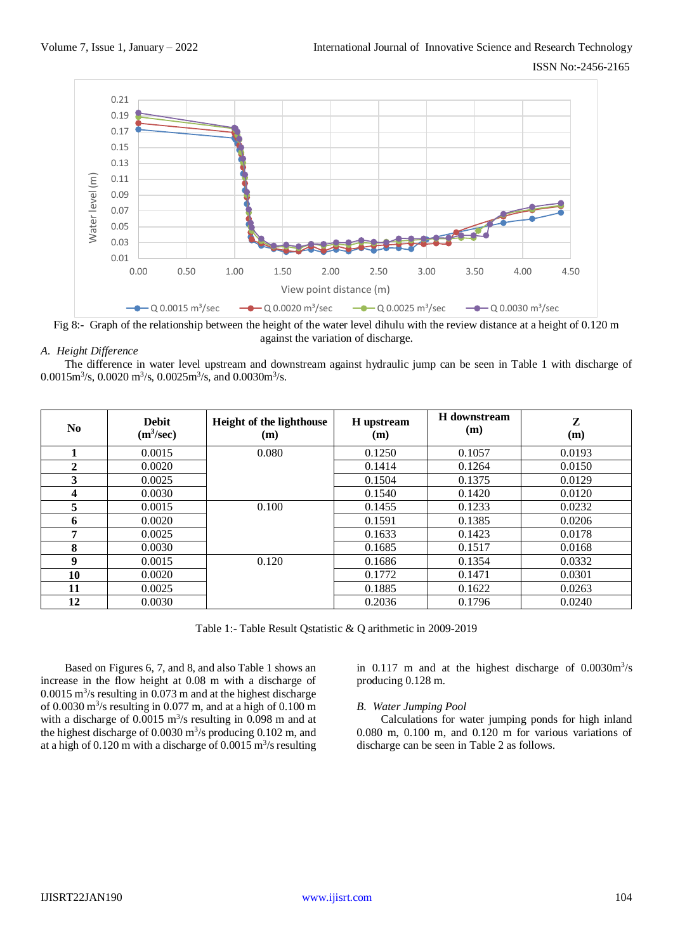

Fig 8:- Graph of the relationship between the height of the water level dihulu with the review distance at a height of 0.120 m against the variation of discharge.

#### *A. Height Difference*

The difference in water level upstream and downstream against hydraulic jump can be seen in Table 1 with discharge of 0.0015m<sup>3</sup>/s, 0.0020 m<sup>3</sup>/s, 0.0025m<sup>3</sup>/s, and 0.0030m<sup>3</sup>/s.

| No.          | <b>Debit</b><br>(m <sup>3</sup> /sec) | Height of the lighthouse<br>(m) | H upstream<br>(m) | H downstream<br>(m) | Z<br>(m) |
|--------------|---------------------------------------|---------------------------------|-------------------|---------------------|----------|
|              | 0.0015                                | 0.080                           | 0.1250            | 0.1057              | 0.0193   |
| $\mathbf{2}$ | 0.0020                                |                                 | 0.1414            | 0.1264              | 0.0150   |
| 3            | 0.0025                                |                                 | 0.1504            | 0.1375              | 0.0129   |
| 4            | 0.0030                                |                                 | 0.1540            | 0.1420              | 0.0120   |
| 5            | 0.0015                                | 0.100                           | 0.1455            | 0.1233              | 0.0232   |
| 6            | 0.0020                                |                                 | 0.1591            | 0.1385              | 0.0206   |
| 7            | 0.0025                                |                                 | 0.1633            | 0.1423              | 0.0178   |
| 8            | 0.0030                                |                                 | 0.1685            | 0.1517              | 0.0168   |
| 9            | 0.0015                                | 0.120                           | 0.1686            | 0.1354              | 0.0332   |
| 10           | 0.0020                                |                                 | 0.1772            | 0.1471              | 0.0301   |
| 11           | 0.0025                                |                                 | 0.1885            | 0.1622              | 0.0263   |
| 12           | 0.0030                                |                                 | 0.2036            | 0.1796              | 0.0240   |

Table 1:- Table Result Qstatistic & Q arithmetic in 2009-2019

Based on Figures 6, 7, and 8, and also Table 1 shows an increase in the flow height at 0.08 m with a discharge of  $0.0015$  m<sup>3</sup>/s resulting in 0.073 m and at the highest discharge of 0.0030 m<sup>3</sup> /s resulting in 0.077 m, and at a high of 0.100 m with a discharge of  $0.0015 \text{ m}^3/\text{s}$  resulting in 0.098 m and at the highest discharge of  $0.0030 \text{ m}^3/\text{s}$  producing  $0.102 \text{ m}$ , and at a high of  $0.120$  m with a discharge of  $0.0015$  m<sup>3</sup>/s resulting

in  $0.117$  m and at the highest discharge of  $0.0030 \text{m}^3/\text{s}$ producing 0.128 m.

#### *B. Water Jumping Pool*

Calculations for water jumping ponds for high inland 0.080 m, 0.100 m, and 0.120 m for various variations of discharge can be seen in Table 2 as follows.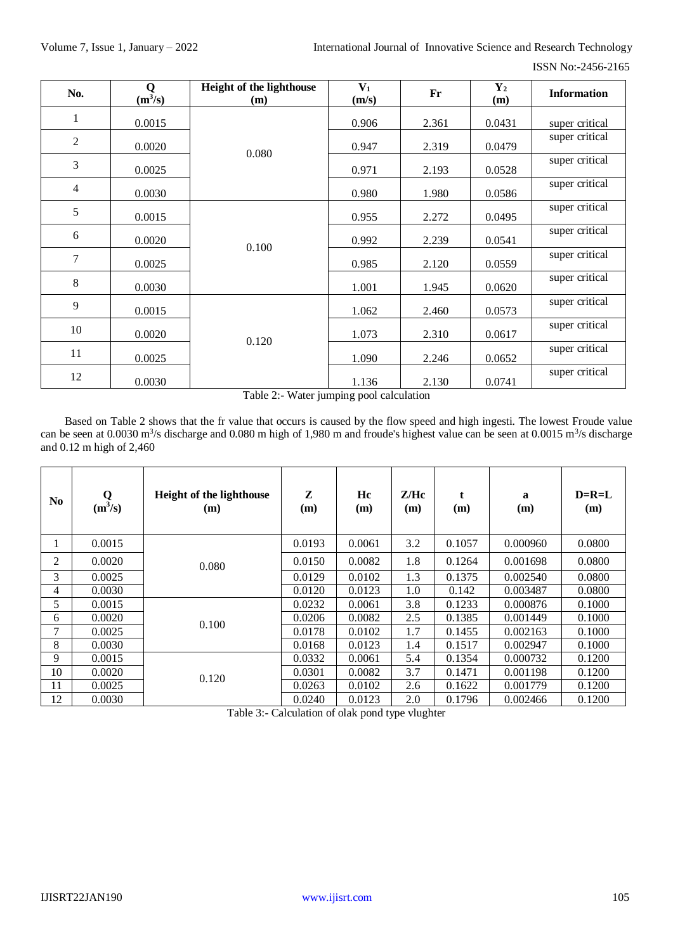| ISSN No:-2456-2165 |
|--------------------|
|                    |

| No.            | Q<br>$(m^3/s)$ | Height of the lighthouse<br>(m) | $V_1$<br>(m/s) | Fr    | $\mathbf{Y}_2$<br>(m) | <b>Information</b> |
|----------------|----------------|---------------------------------|----------------|-------|-----------------------|--------------------|
| $\mathbf{1}$   | 0.0015         |                                 | 0.906          | 2.361 | 0.0431                | super critical     |
| $\overline{2}$ | 0.0020         | 0.080                           | 0.947          | 2.319 | 0.0479                | super critical     |
| 3              | 0.0025         |                                 | 0.971          | 2.193 | 0.0528                | super critical     |
| $\overline{4}$ | 0.0030         |                                 | 0.980          | 1.980 | 0.0586                | super critical     |
| 5              | 0.0015         |                                 | 0.955          | 2.272 | 0.0495                | super critical     |
| 6              | 0.0020         |                                 | 0.992          | 2.239 | 0.0541                | super critical     |
| $\overline{7}$ | 0.0025         | 0.100                           | 0.985          | 2.120 | 0.0559                | super critical     |
| 8              | 0.0030         |                                 | 1.001          | 1.945 | 0.0620                | super critical     |
| 9              | 0.0015         |                                 | 1.062          | 2.460 | 0.0573                | super critical     |
| 10             | 0.0020         |                                 | 1.073          | 2.310 | 0.0617                | super critical     |
| 11             | 0.0025         | 0.120                           | 1.090          | 2.246 | 0.0652                | super critical     |
| 12             | 0.0030         |                                 | 1.136          | 2.130 | 0.0741                | super critical     |

Table 2:- Water jumping pool calculation

Based on Table 2 shows that the fr value that occurs is caused by the flow speed and high ingesti. The lowest Froude value can be seen at 0.0030 m<sup>3</sup>/s discharge and 0.080 m high of 1,980 m and froude's highest value can be seen at 0.0015 m<sup>3</sup>/s discharge and 0.12 m high of 2,460

| N <sub>0</sub> | Q<br>$(m^3/s)$ | <b>Height of the lighthouse</b><br>(m) | Z<br>(m) | Hc<br>(m) | Z/He<br>(m) | (m)    | $\mathbf a$<br>(m) | $D=R=L$<br>(m) |
|----------------|----------------|----------------------------------------|----------|-----------|-------------|--------|--------------------|----------------|
|                | 0.0015         | 0.080                                  | 0.0193   | 0.0061    | 3.2         | 0.1057 | 0.000960           | 0.0800         |
| 2              | 0.0020         |                                        | 0.0150   | 0.0082    | 1.8         | 0.1264 | 0.001698           | 0.0800         |
| 3              | 0.0025         |                                        | 0.0129   | 0.0102    | 1.3         | 0.1375 | 0.002540           | 0.0800         |
| 4              | 0.0030         |                                        | 0.0120   | 0.0123    | 1.0         | 0.142  | 0.003487           | 0.0800         |
| 5              | 0.0015         |                                        | 0.0232   | 0.0061    | 3.8         | 0.1233 | 0.000876           | 0.1000         |
| 6              | 0.0020         | 0.100                                  | 0.0206   | 0.0082    | 2.5         | 0.1385 | 0.001449           | 0.1000         |
| 7              | 0.0025         |                                        | 0.0178   | 0.0102    | 1.7         | 0.1455 | 0.002163           | 0.1000         |
| 8              | 0.0030         |                                        | 0.0168   | 0.0123    | 1.4         | 0.1517 | 0.002947           | 0.1000         |
| 9              | 0.0015         | 0.120                                  | 0.0332   | 0.0061    | 5.4         | 0.1354 | 0.000732           | 0.1200         |
| 10             | 0.0020         |                                        | 0.0301   | 0.0082    | 3.7         | 0.1471 | 0.001198           | 0.1200         |
| 11             | 0.0025         |                                        | 0.0263   | 0.0102    | 2.6         | 0.1622 | 0.001779           | 0.1200         |
| 12             | 0.0030         |                                        | 0.0240   | 0.0123    | 2.0         | 0.1796 | 0.002466           | 0.1200         |

Table 3:- Calculation of olak pond type vlughter